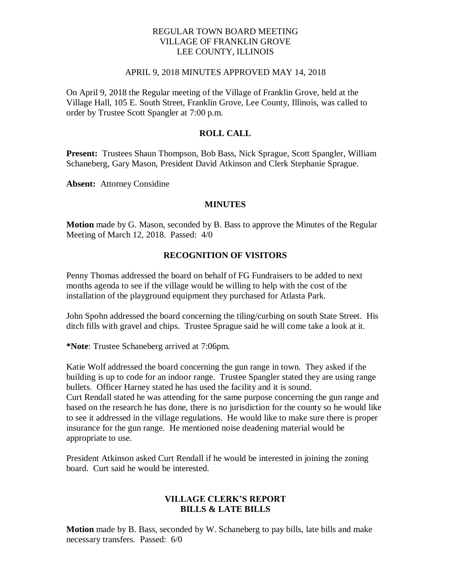### REGULAR TOWN BOARD MEETING VILLAGE OF FRANKLIN GROVE LEE COUNTY, ILLINOIS

#### APRIL 9, 2018 MINUTES APPROVED MAY 14, 2018

On April 9, 2018 the Regular meeting of the Village of Franklin Grove, held at the Village Hall, 105 E. South Street, Franklin Grove, Lee County, Illinois, was called to order by Trustee Scott Spangler at 7:00 p.m.

# **ROLL CALL**

**Present:** Trustees Shaun Thompson, Bob Bass, Nick Sprague, Scott Spangler, William Schaneberg, Gary Mason, President David Atkinson and Clerk Stephanie Sprague.

**Absent:** Attorney Considine

#### **MINUTES**

**Motion** made by G. Mason, seconded by B. Bass to approve the Minutes of the Regular Meeting of March 12, 2018. Passed: 4/0

### **RECOGNITION OF VISITORS**

Penny Thomas addressed the board on behalf of FG Fundraisers to be added to next months agenda to see if the village would be willing to help with the cost of the installation of the playground equipment they purchased for Atlasta Park.

John Spohn addressed the board concerning the tiling/curbing on south State Street. His ditch fills with gravel and chips. Trustee Sprague said he will come take a look at it.

**\*Note**: Trustee Schaneberg arrived at 7:06pm.

Katie Wolf addressed the board concerning the gun range in town. They asked if the building is up to code for an indoor range. Trustee Spangler stated they are using range bullets. Officer Harney stated he has used the facility and it is sound. Curt Rendall stated he was attending for the same purpose concerning the gun range and based on the research he has done, there is no jurisdiction for the county so he would like to see it addressed in the village regulations. He would like to make sure there is proper insurance for the gun range. He mentioned noise deadening material would be appropriate to use.

President Atkinson asked Curt Rendall if he would be interested in joining the zoning board. Curt said he would be interested.

### **VILLAGE CLERK'S REPORT BILLS & LATE BILLS**

**Motion** made by B. Bass, seconded by W. Schaneberg to pay bills, late bills and make necessary transfers. Passed: 6/0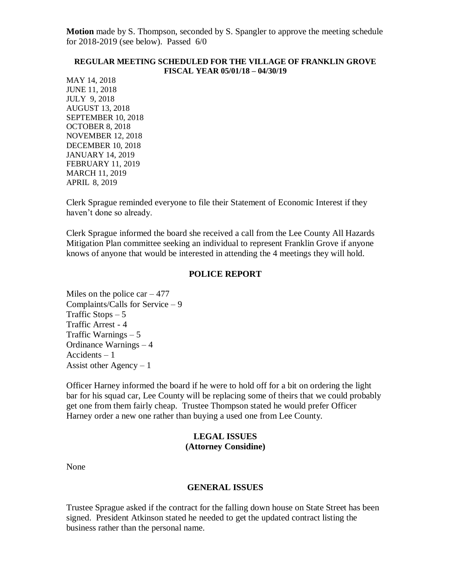**Motion** made by S. Thompson, seconded by S. Spangler to approve the meeting schedule for 2018-2019 (see below). Passed 6/0

#### **REGULAR MEETING SCHEDULED FOR THE VILLAGE OF FRANKLIN GROVE FISCAL YEAR 05/01/18 – 04/30/19**

MAY 14, 2018 JUNE 11, 2018 JULY 9, 2018 AUGUST 13, 2018 SEPTEMBER 10, 2018 OCTOBER 8, 2018 NOVEMBER 12, 2018 DECEMBER 10, 2018 JANUARY 14, 2019 FEBRUARY 11, 2019 MARCH 11, 2019 APRIL 8, 2019

Clerk Sprague reminded everyone to file their Statement of Economic Interest if they haven't done so already.

Clerk Sprague informed the board she received a call from the Lee County All Hazards Mitigation Plan committee seeking an individual to represent Franklin Grove if anyone knows of anyone that would be interested in attending the 4 meetings they will hold.

### **POLICE REPORT**

Miles on the police car  $-477$ Complaints/Calls for Service – 9 Traffic Stops  $-5$ Traffic Arrest - 4 Traffic Warnings – 5 Ordinance Warnings – 4 Accidents – 1 Assist other Agency – 1

Officer Harney informed the board if he were to hold off for a bit on ordering the light bar for his squad car, Lee County will be replacing some of theirs that we could probably get one from them fairly cheap. Trustee Thompson stated he would prefer Officer Harney order a new one rather than buying a used one from Lee County.

### **LEGAL ISSUES (Attorney Considine)**

None

#### **GENERAL ISSUES**

Trustee Sprague asked if the contract for the falling down house on State Street has been signed. President Atkinson stated he needed to get the updated contract listing the business rather than the personal name.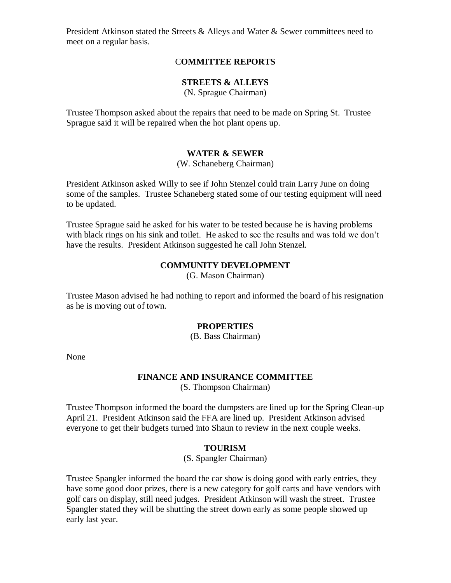President Atkinson stated the Streets & Alleys and Water & Sewer committees need to meet on a regular basis.

# C**OMMITTEE REPORTS**

# **STREETS & ALLEYS**

(N. Sprague Chairman)

Trustee Thompson asked about the repairs that need to be made on Spring St. Trustee Sprague said it will be repaired when the hot plant opens up.

## **WATER & SEWER**

(W. Schaneberg Chairman)

President Atkinson asked Willy to see if John Stenzel could train Larry June on doing some of the samples. Trustee Schaneberg stated some of our testing equipment will need to be updated.

Trustee Sprague said he asked for his water to be tested because he is having problems with black rings on his sink and toilet. He asked to see the results and was told we don't have the results. President Atkinson suggested he call John Stenzel.

### **COMMUNITY DEVELOPMENT**

(G. Mason Chairman)

Trustee Mason advised he had nothing to report and informed the board of his resignation as he is moving out of town.

### **PROPERTIES**

(B. Bass Chairman)

None

# **FINANCE AND INSURANCE COMMITTEE**

(S. Thompson Chairman)

Trustee Thompson informed the board the dumpsters are lined up for the Spring Clean-up April 21. President Atkinson said the FFA are lined up. President Atkinson advised everyone to get their budgets turned into Shaun to review in the next couple weeks.

### **TOURISM**

(S. Spangler Chairman)

Trustee Spangler informed the board the car show is doing good with early entries, they have some good door prizes, there is a new category for golf carts and have vendors with golf cars on display, still need judges. President Atkinson will wash the street. Trustee Spangler stated they will be shutting the street down early as some people showed up early last year.